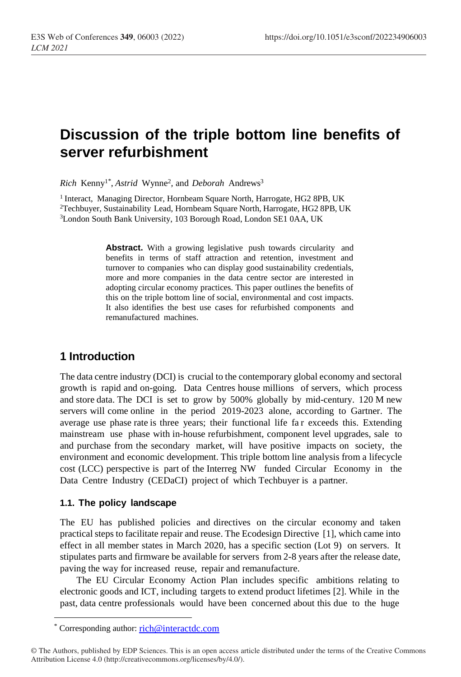# **Discussion of the triple bottom line benefits of server refurbishment**

*Rich* Kenny<sup>1</sup>*\** , *Astrid* Wynne<sup>2</sup> *,* and *Deborah* Andrews<sup>3</sup>

<sup>1</sup> Interact, Managing Director, Hornbeam Square North, Harrogate, HG2 8PB, UK <sup>2</sup>Techbuyer, Sustainability Lead, Hornbeam Square North, Harrogate, HG2 8PB, UK <sup>3</sup>London South Bank University, 103 Borough Road, London SE1 0AA, UK

> **Abstract.** With a growing legislative push towards circularity and benefits in terms of staff attraction and retention, investment and turnover to companies who can display good sustainability credentials, more and more companies in the data centre sector are interested in adopting circular economy practices. This paper outlines the benefits of this on the triple bottom line of social, environmental and cost impacts. It also identifies the best use cases for refurbished components and remanufactured machines.

# **1 Introduction**

The data centre industry (DCI) is crucial to the contemporary global economy and sectoral growth is rapid and on-going. Data Centres house millions of servers, which process and store data. The DCI is set to grow by 500% globally by mid-century. 120 M new servers will come online in the period 2019-2023 alone, according to Gartner. The average use phase rate is three years; their functional life fa r exceeds this. Extending mainstream use phase with in-house refurbishment, component level upgrades, sale to and purchase from the secondary market, will have positive impacts on society, the environment and economic development. This triple bottom line analysis from a lifecycle cost (LCC) perspective is part of the Interreg NW funded Circular Economy in the Data Centre Industry (CEDaCI) project of which Techbuyer is a partner.

# **1.1. The policy landscape**

The EU has published policies and directives on the circular economy and taken practical steps to facilitate repair and reuse. The Ecodesign Directive [1], which came into effect in all member states in March 2020, has a specific section (Lot 9) on servers. It stipulates parts and firmware be available for servers from 2-8 years after the release date, paving the way for increased reuse, repair and remanufacture.

The EU Circular Economy Action Plan includes specific ambitions relating to electronic goods and ICT, including targets to extend product lifetimes [2]. While in the past, data centre professionals would have been concerned about this due to the huge

-

Corresponding author: [rich@interactdc.com](mailto:rich@interactdc.com)

<sup>©</sup> The Authors, published by EDP Sciences. This is an open access article distributed under the terms of the Creative Commons Attribution License 4.0 (http://creativecommons.org/licenses/by/4.0/).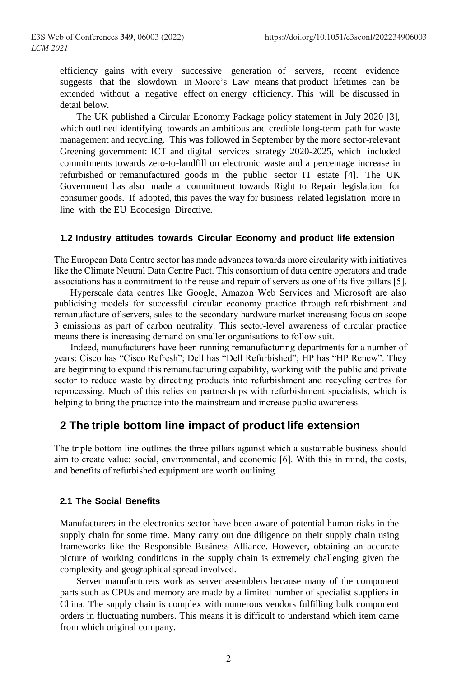efficiency gains with every successive generation of servers, recent evidence suggests that the slowdown in Moore's Law means that product lifetimes can be extended without a negative effect on energy efficiency. This will be discussed in detail below.

The UK published a Circular Economy Package policy statement in July 2020 [3], which outlined identifying towards an ambitious and credible long-term path for waste management and recycling. This was followed in September by the more sector-relevant Greening government: ICT and digital services strategy 2020-2025, which included commitments towards zero-to-landfill on electronic waste and a percentage increase in refurbished or remanufactured goods in the public sector IT estate [4]. The UK Government has also made a commitment towards Right to Repair legislation for consumer goods. If adopted, this paves the way for business related legislation more in line with the EU Ecodesign Directive.

#### **1.2 Industry attitudes towards Circular Economy and product life extension**

The European Data Centre sector has made advances towards more circularity with initiatives like the Climate Neutral Data Centre Pact. This consortium of data centre operators and trade associations has a commitment to the reuse and repair of servers as one of its five pillars [5].

Hyperscale data centres like Google, Amazon Web Services and Microsoft are also publicising models for successful circular economy practice through refurbishment and remanufacture of servers, sales to the secondary hardware market increasing focus on scope 3 emissions as part of carbon neutrality. This sector-level awareness of circular practice means there is increasing demand on smaller organisations to follow suit.

Indeed, manufacturers have been running remanufacturing departments for a number of years: Cisco has "Cisco Refresh"; Dell has "Dell Refurbished"; HP has "HP Renew". They are beginning to expand this remanufacturing capability, working with the public and private sector to reduce waste by directing products into refurbishment and recycling centres for reprocessing. Much of this relies on partnerships with refurbishment specialists, which is helping to bring the practice into the mainstream and increase public awareness.

# **2 The triple bottom line impact of product life extension**

The triple bottom line outlines the three pillars against which a sustainable business should aim to create value: social, environmental, and economic [6]. With this in mind, the costs, and benefits of refurbished equipment are worth outlining.

#### **2.1 The Social Benefits**

Manufacturers in the electronics sector have been aware of potential human risks in the supply chain for some time. Many carry out due diligence on their supply chain using frameworks like the Responsible Business Alliance. However, obtaining an accurate picture of working conditions in the supply chain is extremely challenging given the complexity and geographical spread involved.

Server manufacturers work as server assemblers because many of the component parts such as CPUs and memory are made by a limited number of specialist suppliers in China. The supply chain is complex with numerous vendors fulfilling bulk component orders in fluctuating numbers. This means it is difficult to understand which item came from which original company.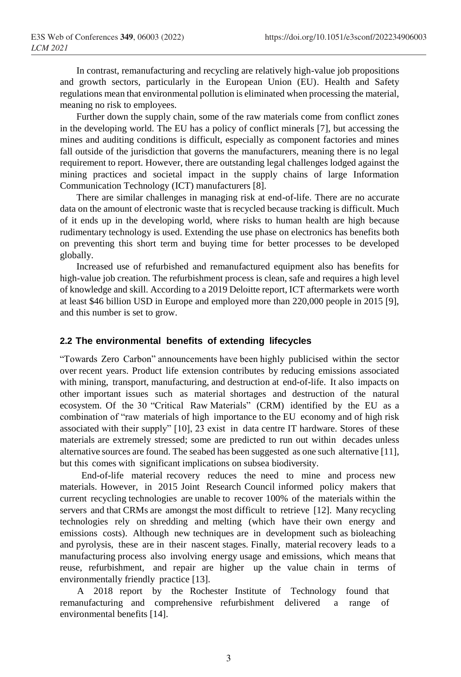In contrast, remanufacturing and recycling are relatively high-value job propositions and growth sectors, particularly in the European Union (EU). Health and Safety regulations mean that environmental pollution is eliminated when processing the material, meaning no risk to employees.

Further down the supply chain, some of the raw materials come from conflict zones in the developing world. The EU has a policy of conflict minerals [7], but accessing the mines and auditing conditions is difficult, especially as component factories and mines fall outside of the jurisdiction that governs the manufacturers, meaning there is no legal requirement to report. However, there are outstanding legal challenges lodged against the mining practices and societal impact in the supply chains of large Information Communication Technology (ICT) manufacturers [8].

There are similar challenges in managing risk at end-of-life. There are no accurate data on the amount of electronic waste that is recycled because tracking is difficult. Much of it ends up in the developing world, where risks to human health are high because rudimentary technology is used. Extending the use phase on electronics has benefits both on preventing this short term and buying time for better processes to be developed globally.

Increased use of refurbished and remanufactured equipment also has benefits for high-value job creation. The refurbishment process is clean, safe and requires a high level of knowledge and skill. According to a 2019 Deloitte report, ICT aftermarkets were worth at least \$46 billion USD in Europe and employed more than 220,000 people in 2015 [9], and this number is set to grow.

## **2.2 The environmental benefits of extending lifecycles**

"Towards Zero Carbon" announcements have been highly publicised within the sector over recent years. Product life extension contributes by reducing emissions associated with mining, transport, manufacturing, and destruction at end-of-life. It also impacts on other important issues such as material shortages and destruction of the natural ecosystem. Of the 30 "Critical Raw Materials" (CRM) identified by the EU as a combination of "raw materials of high importance to the EU economy and of high risk associated with their supply" [10], 23 exist in data centre IT hardware. Stores of these materials are extremely stressed; some are predicted to run out within decades unless alternative sources are found. The seabed has been suggested as one such alternative [11], but this comes with significant implications on subsea biodiversity.

End-of-life material recovery reduces the need to mine and process new materials. However, in 2015 Joint Research Council informed policy makers that current recycling technologies are unable to recover 100% of the materials within the servers and that CRMs are amongst the most difficult to retrieve [12]. Many recycling technologies rely on shredding and melting (which have their own energy and emissions costs). Although new techniques are in development such as bioleaching and pyrolysis, these are in their nascent stages. Finally, material recovery leads to a manufacturing process also involving energy usage and emissions, which means that reuse, refurbishment, and repair are higher up the value chain in terms of environmentally friendly practice [13].

A 2018 report by the Rochester Institute of Technology found that remanufacturing and comprehensive refurbishment delivered a range of environmental benefits [14].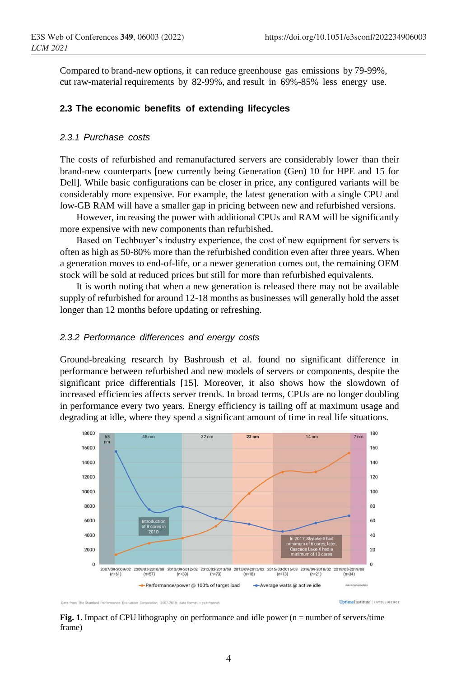Compared to brand-new options, it can reduce greenhouse gas emissions by 79-99%, cut raw-material requirements by 82-99%, and result in 69%-85% less energy use.

## **2.3 The economic benefits of extending lifecycles**

#### *2.3.1 Purchase costs*

The costs of refurbished and remanufactured servers are considerably lower than their brand-new counterparts [new currently being Generation (Gen) 10 for HPE and 15 for Dell]. While basic configurations can be closer in price, any configured variants will be considerably more expensive. For example, the latest generation with a single CPU and low-GB RAM will have a smaller gap in pricing between new and refurbished versions.

However, increasing the power with additional CPUs and RAM will be significantly more expensive with new components than refurbished.

Based on Techbuyer's industry experience, the cost of new equipment for servers is often as high as 50-80% more than the refurbished condition even after three years. When a generation moves to end-of-life, or a newer generation comes out, the remaining OEM stock will be sold at reduced prices but still for more than refurbished equivalents.

It is worth noting that when a new generation is released there may not be available supply of refurbished for around 12-18 months as businesses will generally hold the asset longer than 12 months before updating or refreshing.

#### *2.3.2 Performance differences and energy costs*

Ground-breaking research by Bashroush et al. found no significant difference in performance between refurbished and new models of servers or components, despite the significant price differentials [15]. Moreover, it also shows how the slowdown of increased efficiencies affects server trends. In broad terms, CPUs are no longer doubling in performance every two years. Energy efficiency is tailing off at maximum usage and degrading at idle, where they spend a significant amount of time in real life situations.



**Fig. 1.** Impact of CPU lithography on performance and idle power (n = number of servers/time frame)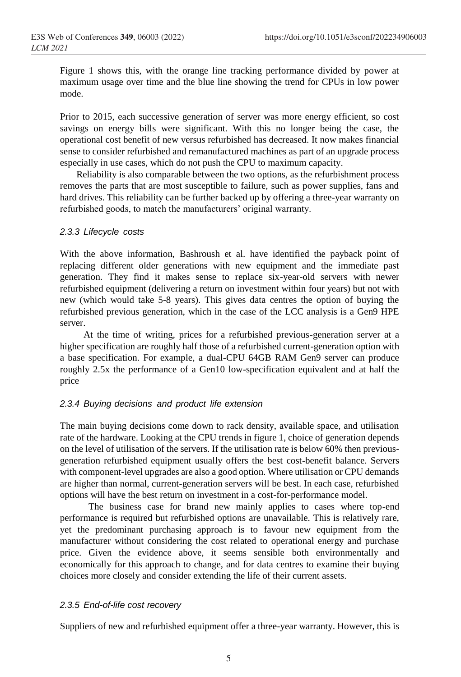Figure 1 shows this, with the orange line tracking performance divided by power at maximum usage over time and the blue line showing the trend for CPUs in low power mode.

Prior to 2015, each successive generation of server was more energy efficient, so cost savings on energy bills were significant. With this no longer being the case, the operational cost benefit of new versus refurbished has decreased. It now makes financial sense to consider refurbished and remanufactured machines as part of an upgrade process especially in use cases, which do not push the CPU to maximum capacity.

Reliability is also comparable between the two options, as the refurbishment process removes the parts that are most susceptible to failure, such as power supplies, fans and hard drives. This reliability can be further backed up by offering a three-year warranty on refurbished goods, to match the manufacturers' original warranty.

### *2.3.3 Lifecycle costs*

With the above information, Bashroush et al. have identified the payback point of replacing different older generations with new equipment and the immediate past generation. They find it makes sense to replace six-year-old servers with newer refurbished equipment (delivering a return on investment within four years) but not with new (which would take 5-8 years). This gives data centres the option of buying the refurbished previous generation, which in the case of the LCC analysis is a Gen9 HPE server.

At the time of writing, prices for a refurbished previous-generation server at a higher specification are roughly half those of a refurbished current-generation option with a base specification. For example, a dual-CPU 64GB RAM Gen9 server can produce roughly 2.5x the performance of a Gen10 low-specification equivalent and at half the price

# *2.3.4 Buying decisions and product life extension*

The main buying decisions come down to rack density, available space, and utilisation rate of the hardware. Looking at the CPU trends in figure 1, choice of generation depends on the level of utilisation of the servers. If the utilisation rate is below 60% then previousgeneration refurbished equipment usually offers the best cost-benefit balance. Servers with component-level upgrades are also a good option. Where utilisation or CPU demands are higher than normal, current-generation servers will be best. In each case, refurbished options will have the best return on investment in a cost-for-performance model.

The business case for brand new mainly applies to cases where top-end performance is required but refurbished options are unavailable. This is relatively rare, yet the predominant purchasing approach is to favour new equipment from the manufacturer without considering the cost related to operational energy and purchase price. Given the evidence above, it seems sensible both environmentally and economically for this approach to change, and for data centres to examine their buying choices more closely and consider extending the life of their current assets.

### *2.3.5 End-of-life cost recovery*

Suppliers of new and refurbished equipment offer a three-year warranty. However, this is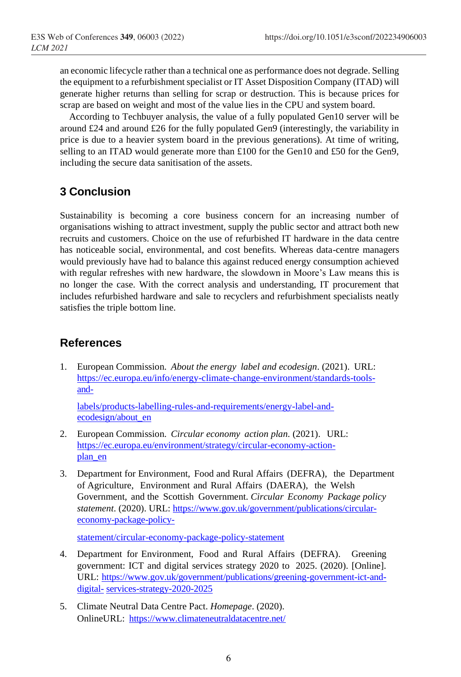an economic lifecycle rather than a technical one as performance does not degrade. Selling the equipment to a refurbishment specialist or IT Asset Disposition Company (ITAD) will generate higher returns than selling for scrap or destruction. This is because prices for scrap are based on weight and most of the value lies in the CPU and system board.

According to Techbuyer analysis, the value of a fully populated Gen10 server will be around £24 and around £26 for the fully populated Gen9 (interestingly, the variability in price is due to a heavier system board in the previous generations). At time of writing, selling to an ITAD would generate more than £100 for the Gen10 and £50 for the Gen9, including the secure data sanitisation of the assets.

# **3 Conclusion**

Sustainability is becoming a core business concern for an increasing number of organisations wishing to attract investment, supply the public sector and attract both new recruits and customers. Choice on the use of refurbished IT hardware in the data centre has noticeable social, environmental, and cost benefits. Whereas data-centre managers would previously have had to balance this against reduced energy consumption achieved with regular refreshes with new hardware, the slowdown in Moore's Law means this is no longer the case. With the correct analysis and understanding, IT procurement that includes refurbished hardware and sale to recyclers and refurbishment specialists neatly satisfies the triple bottom line.

# **References**

1. European Commission. *About the energy label and ecodesign*. (2021). URL: [https://ec.europa.eu/info/energy-climate-change-environment/standards-tools](https://ec.europa.eu/info/energy-climate-change-environment/standards-tools-and-labels/products-labelling-rules-and-requirements/energy-label-and-ecodesign/about_en)[and-](https://ec.europa.eu/info/energy-climate-change-environment/standards-tools-and-labels/products-labelling-rules-and-requirements/energy-label-and-ecodesign/about_en)

[labels/products-labelling-rules-and-requirements/energy-label-and](https://ec.europa.eu/info/energy-climate-change-environment/standards-tools-and-labels/products-labelling-rules-and-requirements/energy-label-and-ecodesign/about_en)[ecodesign/about\\_en](https://ec.europa.eu/info/energy-climate-change-environment/standards-tools-and-labels/products-labelling-rules-and-requirements/energy-label-and-ecodesign/about_en)

- 2. European Commission. *Circular economy action plan.* (2021). URL: [https://ec.europa.eu/environment/strategy/circular-economy-action](https://ec.europa.eu/environment/strategy/circular-economy-action-plan_en)[plan\\_en](https://ec.europa.eu/environment/strategy/circular-economy-action-plan_en)
- 3. Department for Environment, Food and Rural Affairs (DEFRA), the Department of Agriculture, Environment and Rural Affairs (DAERA), the Welsh Government, and the Scottish Government. *Circular Economy Package policy statement*. (2020). URL: [https://www.gov.uk/government/publications/circular](https://www.gov.uk/government/publications/circular-economy-package-policy-statement/circular-economy-package-policy-statement)[economy-package-policy-](https://www.gov.uk/government/publications/circular-economy-package-policy-statement/circular-economy-package-policy-statement)

[statement/circular-economy-package-policy-statement](https://www.gov.uk/government/publications/circular-economy-package-policy-statement/circular-economy-package-policy-statement)

- 4. Department for Environment, Food and Rural Affairs (DEFRA). Greening government: ICT and digital services strategy 2020 to 2025. (2020). [Online]. URL: [https://www.gov.uk/government/publications/greening-government-ict-and](https://www.gov.uk/government/publications/greening-government-ict-and-digital-services-strategy-2020-2025)[digital-](https://www.gov.uk/government/publications/greening-government-ict-and-digital-services-strategy-2020-2025) [services-strategy-2020-2025](https://www.gov.uk/government/publications/greening-government-ict-and-digital-services-strategy-2020-2025)
- 5. Climate Neutral Data Centre Pact. *Homepage*. (2020). OnlineURL: <https://www.climateneutraldatacentre.net/>